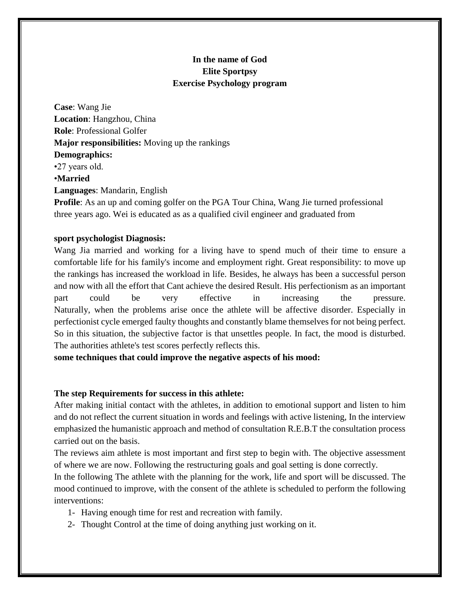# **In the name of God Elite Sportpsy Exercise Psychology program**

**Case**: Wang Jie **Location**: Hangzhou, China **Role**: Professional Golfer **Major responsibilities:** Moving up the rankings **Demographics:** •27 years old. •**Married Languages**: Mandarin, English

**Profile**: As an up and coming golfer on the PGA Tour China, Wang Jie turned professional three years ago. Wei is educated as as a qualified civil engineer and graduated from

## **sport psychologist Diagnosis:**

Wang Jia married and working for a living have to spend much of their time to ensure a comfortable life for his family's income and employment right. Great responsibility: to move up the rankings has increased the workload in life. Besides, he always has been a successful person and now with all the effort that Cant achieve the desired Result. His perfectionism as an important part could be very effective in increasing the pressure. Naturally, when the problems arise once the athlete will be affective disorder. Especially in perfectionist cycle emerged faulty thoughts and constantly blame themselves for not being perfect. So in this situation, the subjective factor is that unsettles people. In fact, the mood is disturbed. The authorities athlete's test scores perfectly reflects this.

**some techniques that could improve the negative aspects of his mood:**

## **The step Requirements for success in this athlete:**

After making initial contact with the athletes, in addition to emotional support and listen to him and do not reflect the current situation in words and feelings with active listening, In the interview emphasized the humanistic approach and method of consultation R.E.B.T the consultation process carried out on the basis.

The reviews aim athlete is most important and first step to begin with. The objective assessment of where we are now. Following the restructuring goals and goal setting is done correctly.

In the following The athlete with the planning for the work, life and sport will be discussed. The mood continued to improve, with the consent of the athlete is scheduled to perform the following interventions:

- 1- Having enough time for rest and recreation with family.
- 2- Thought Control at the time of doing anything just working on it.